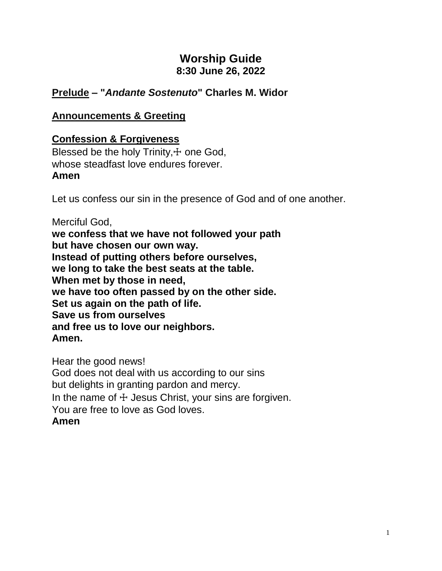## **Worship Guide 8:30 June 26, 2022**

# **Prelude – "***Andante Sostenuto***" Charles M. Widor**

## **Announcements & Greeting**

# **Confession & Forgiveness**

Blessed be the holy Trinity, + one God, whose steadfast love endures forever. **Amen**

Let us confess our sin in the presence of God and of one another.

Merciful God, **we confess that we have not followed your path but have chosen our own way. Instead of putting others before ourselves, we long to take the best seats at the table. When met by those in need, we have too often passed by on the other side. Set us again on the path of life. Save us from ourselves and free us to love our neighbors. Amen.**

Hear the good news! God does not deal with us according to our sins but delights in granting pardon and mercy. In the name of  $+$  Jesus Christ, your sins are forgiven. You are free to love as God loves. **Amen**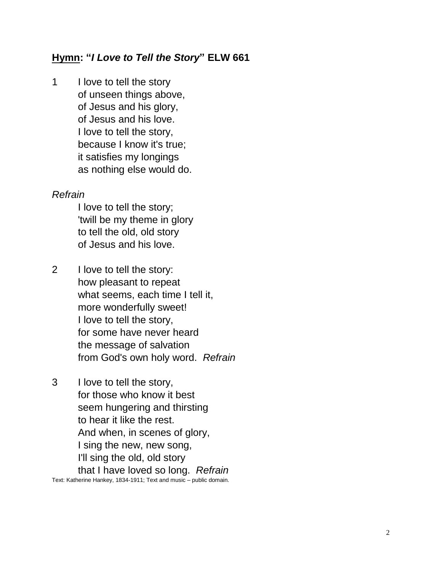#### **Hymn: "***I Love to Tell the Story***" ELW 661**

1 I love to tell the story of unseen things above, of Jesus and his glory, of Jesus and his love. I love to tell the story, because I know it's true; it satisfies my longings as nothing else would do.

#### *Refrain*

I love to tell the story; 'twill be my theme in glory to tell the old, old story of Jesus and his love.

- 2 I love to tell the story: how pleasant to repeat what seems, each time I tell it, more wonderfully sweet! I love to tell the story, for some have never heard the message of salvation from God's own holy word. *Refrain*
- 3 I love to tell the story, for those who know it best seem hungering and thirsting to hear it like the rest. And when, in scenes of glory, I sing the new, new song, I'll sing the old, old story that I have loved so long. *Refrain* Text: Katherine Hankey, 1834-1911; Text and music – public domain.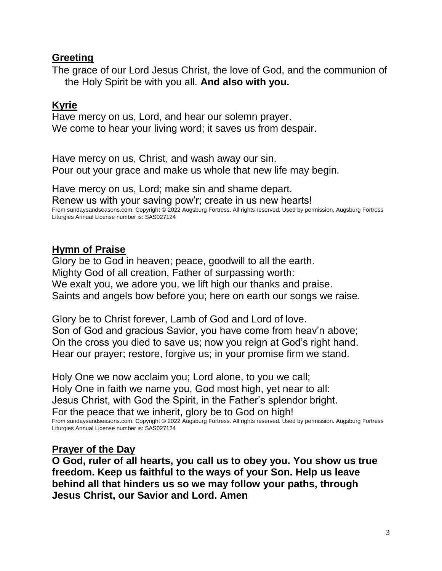### **Greeting**

The grace of our Lord Jesus Christ, the love of God, and the communion of the Holy Spirit be with you all. **And also with you.**

### **Kyrie**

Have mercy on us, Lord, and hear our solemn prayer. We come to hear your living word; it saves us from despair.

Have mercy on us, Christ, and wash away our sin. Pour out your grace and make us whole that new life may begin.

Have mercy on us, Lord; make sin and shame depart. Renew us with your saving pow'r; create in us new hearts! From sundaysandseasons.com. Copyright © 2022 Augsburg Fortress. All rights reserved. Used by permission. Augsburg Fortress Liturgies Annual License number is: SAS027124

### **Hymn of Praise**

Glory be to God in heaven; peace, goodwill to all the earth. Mighty God of all creation, Father of surpassing worth: We exalt you, we adore you, we lift high our thanks and praise. Saints and angels bow before you; here on earth our songs we raise.

Glory be to Christ forever, Lamb of God and Lord of love. Son of God and gracious Savior, you have come from heav'n above; On the cross you died to save us; now you reign at God's right hand. Hear our prayer; restore, forgive us; in your promise firm we stand.

Holy One we now acclaim you; Lord alone, to you we call; Holy One in faith we name you, God most high, yet near to all: Jesus Christ, with God the Spirit, in the Father's splendor bright. For the peace that we inherit, glory be to God on high! From sundaysandseasons.com. Copyright © 2022 Augsburg Fortress. All rights reserved. Used by permission. Augsburg Fortress Liturgies Annual License number is: SAS027124

### **Prayer of the Day**

**O God, ruler of all hearts, you call us to obey you. You show us true freedom. Keep us faithful to the ways of your Son. Help us leave behind all that hinders us so we may follow your paths, through Jesus Christ, our Savior and Lord. Amen**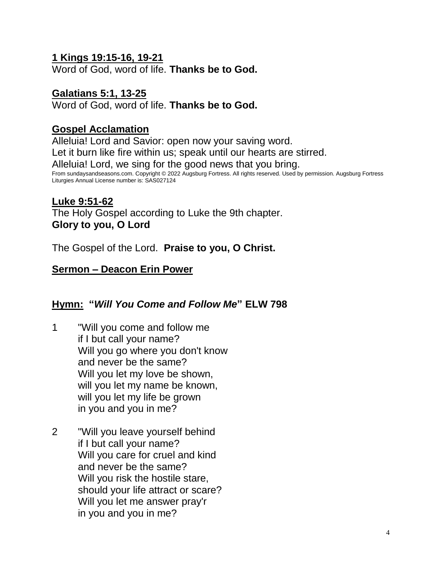## **1 Kings 19:15-16, 19-21**

Word of God, word of life. **Thanks be to God.**

### **Galatians 5:1, 13-25**

Word of God, word of life. **Thanks be to God.**

## **Gospel Acclamation**

Alleluia! Lord and Savior: open now your saving word. Let it burn like fire within us; speak until our hearts are stirred. Alleluia! Lord, we sing for the good news that you bring. From sundaysandseasons.com. Copyright © 2022 Augsburg Fortress. All rights reserved. Used by permission. Augsburg Fortress Liturgies Annual License number is: SAS027124

### **Luke 9:51-62**

The Holy Gospel according to Luke the 9th chapter. **Glory to you, O Lord**

The Gospel of the Lord. **Praise to you, O Christ.**

### **Sermon – Deacon Erin Power**

### **Hymn: "***Will You Come and Follow Me***" ELW 798**

- 1 "Will you come and follow me if I but call your name? Will you go where you don't know and never be the same? Will you let my love be shown, will you let my name be known, will you let my life be grown in you and you in me?
- 2 "Will you leave yourself behind if I but call your name? Will you care for cruel and kind and never be the same? Will you risk the hostile stare, should your life attract or scare? Will you let me answer pray'r in you and you in me?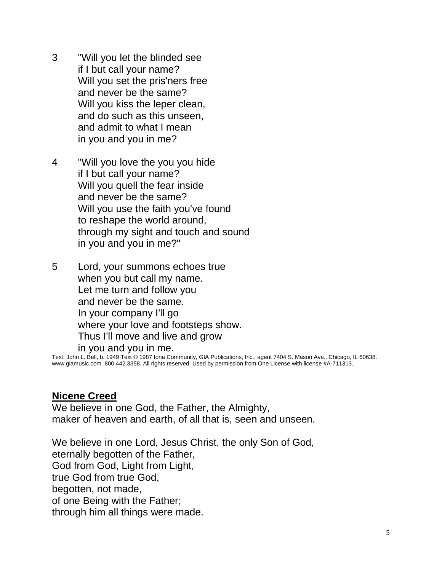- 3 "Will you let the blinded see if I but call your name? Will you set the pris'ners free and never be the same? Will you kiss the leper clean, and do such as this unseen, and admit to what I mean in you and you in me?
- 4 "Will you love the you you hide if I but call your name? Will you quell the fear inside and never be the same? Will you use the faith you've found to reshape the world around, through my sight and touch and sound in you and you in me?"
- 5 Lord, your summons echoes true when you but call my name. Let me turn and follow you and never be the same. In your company I'll go where your love and footsteps show. Thus I'll move and live and grow in you and you in me.

Text: John L. Bell, b. 1949 Text © 1987 Iona Community, GIA Publications, Inc., agent 7404 S. Mason Ave., Chicago, IL 60638. www.giamusic.com. 800.442.3358. All rights reserved. Used by permission from One License with license #A-711313.

#### **Nicene Creed**

We believe in one God, the Father, the Almighty, maker of heaven and earth, of all that is, seen and unseen.

We believe in one Lord, Jesus Christ, the only Son of God, eternally begotten of the Father, God from God, Light from Light, true God from true God, begotten, not made, of one Being with the Father; through him all things were made.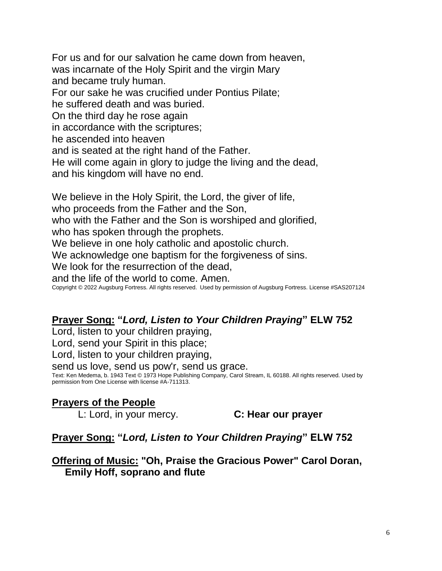For us and for our salvation he came down from heaven, was incarnate of the Holy Spirit and the virgin Mary and became truly human. For our sake he was crucified under Pontius Pilate; he suffered death and was buried. On the third day he rose again in accordance with the scriptures; he ascended into heaven and is seated at the right hand of the Father. He will come again in glory to judge the living and the dead, and his kingdom will have no end. We believe in the Holy Spirit, the Lord, the giver of life, who proceeds from the Father and the Son, who with the Father and the Son is worshiped and glorified, who has spoken through the prophets. We believe in one holy catholic and apostolic church. We acknowledge one baptism for the forgiveness of sins. We look for the resurrection of the dead,

and the life of the world to come. Amen.

Copyright © 2022 Augsburg Fortress. All rights reserved. Used by permission of Augsburg Fortress. License #SAS207124

## **Prayer Song: "***Lord, Listen to Your Children Praying***" ELW 752**

Lord, listen to your children praying,

Lord, send your Spirit in this place;

Lord, listen to your children praying,

send us love, send us pow'r, send us grace.

Text: Ken Medema, b. 1943 Text © 1973 Hope Publishing Company, Carol Stream, IL 60188. All rights reserved. Used by permission from One License with license #A-711313.

### **Prayers of the People**

L: Lord, in your mercy. **C: Hear our prayer**

### **Prayer Song: "***Lord, Listen to Your Children Praying***" ELW 752**

**Offering of Music: "Oh, Praise the Gracious Power" Carol Doran, Emily Hoff, soprano and flute**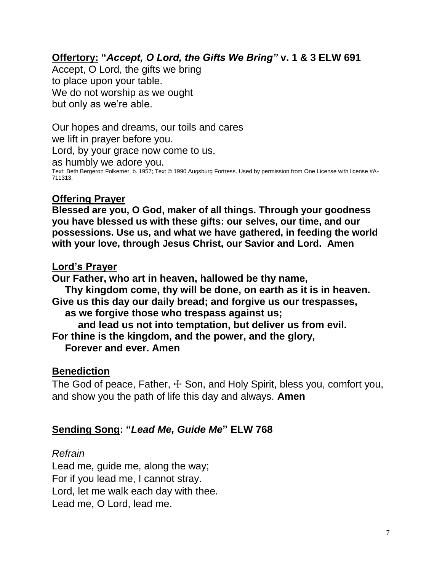## **Offertory: "***Accept, O Lord, the Gifts We Bring"* **v. 1 & 3 ELW 691**

Accept, O Lord, the gifts we bring to place upon your table. We do not worship as we ought but only as we're able.

Our hopes and dreams, our toils and cares we lift in prayer before you. Lord, by your grace now come to us, as humbly we adore you. Text: Beth Bergeron Folkemer, b. 1957; Text © 1990 Augsburg Fortress. Used by permission from One License with license #A-711313.

#### **Offering Prayer**

**Blessed are you, O God, maker of all things. Through your goodness you have blessed us with these gifts: our selves, our time, and our possessions. Use us, and what we have gathered, in feeding the world with your love, through Jesus Christ, our Savior and Lord. Amen**

#### **Lord's Prayer**

**Our Father, who art in heaven, hallowed be thy name, Thy kingdom come, thy will be done, on earth as it is in heaven. Give us this day our daily bread; and forgive us our trespasses, as we forgive those who trespass against us; and lead us not into temptation, but deliver us from evil. For thine is the kingdom, and the power, and the glory, Forever and ever. Amen**

#### **Benediction**

The God of peace, Father,  $\pm$  Son, and Holy Spirit, bless you, comfort you, and show you the path of life this day and always. **Amen**

### **Sending Song: "***Lead Me, Guide Me***" ELW 768**

### *Refrain*

Lead me, guide me, along the way; For if you lead me, I cannot stray. Lord, let me walk each day with thee. Lead me, O Lord, lead me.